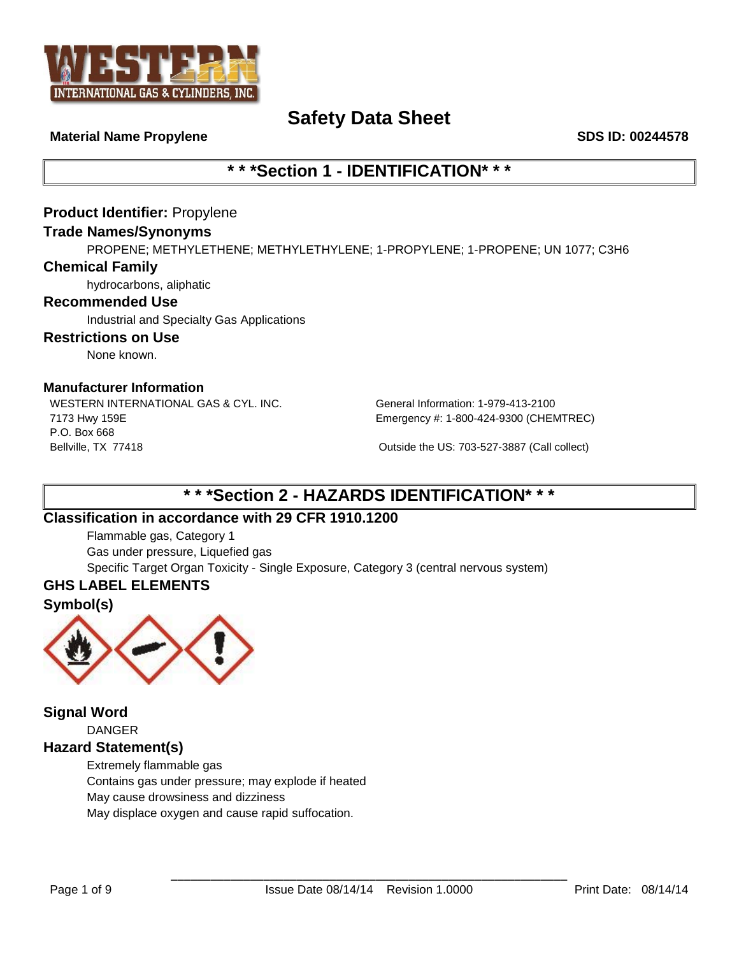

#### **Material Name Propylene SDS ID: 00244578**

# **\* \* \*Section 1 - IDENTIFICATION\* \* \***

# **Product Identifier:** Propylene

#### **Trade Names/Synonyms**

PROPENE; METHYLETHENE; METHYLETHYLENE; 1-PROPYLENE; 1-PROPENE; UN 1077; C3H6

#### **Chemical Family**

hydrocarbons, aliphatic

#### **Recommended Use**

Industrial and Specialty Gas Applications

#### **Restrictions on Use**

None known.

#### **Manufacturer Information**

WESTERN INTERNATIONAL GAS & CYL. INC. General Information: 1-979-413-2100 7173 Hwy 159E P.O. Box 668 Bellville, TX 77418 Outside the US: 703-527-3887 (Call collect)

Emergency #: 1-800-424-9300 (CHEMTREC)

# **\* \* \*Section 2 - HAZARDS IDENTIFICATION\* \* \***

# **Classification in accordance with 29 CFR 1910.1200**

Flammable gas, Category 1 Gas under pressure, Liquefied gas Specific Target Organ Toxicity - Single Exposure, Category 3 (central nervous system)

# **GHS LABEL ELEMENTS**

### **Symbol(s)**



**Signal Word** DANGER

# **Hazard Statement(s)**

Extremely flammable gas Contains gas under pressure; may explode if heated May cause drowsiness and dizziness May displace oxygen and cause rapid suffocation.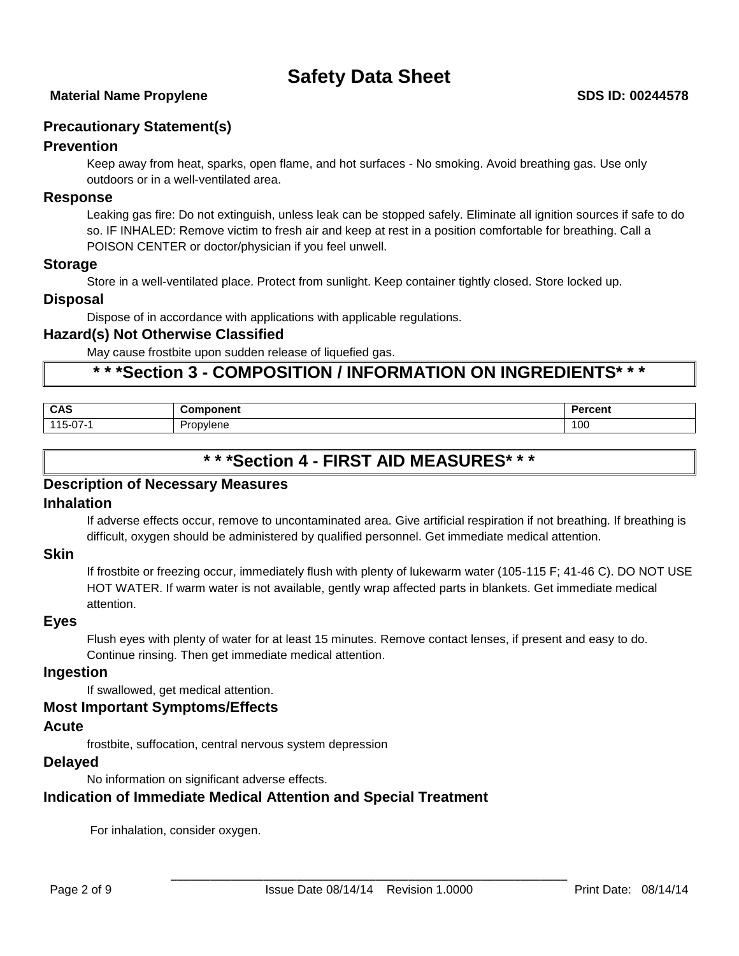# **Precautionary Statement(s)**

# **Prevention**

Keep away from heat, sparks, open flame, and hot surfaces - No smoking. Avoid breathing gas. Use only outdoors or in a well-ventilated area.

#### **Response**

Leaking gas fire: Do not extinguish, unless leak can be stopped safely. Eliminate all ignition sources if safe to do so. IF INHALED: Remove victim to fresh air and keep at rest in a position comfortable for breathing. Call a POISON CENTER or doctor/physician if you feel unwell.

#### **Storage**

Store in a well-ventilated place. Protect from sunlight. Keep container tightly closed. Store locked up.

#### **Disposal**

Dispose of in accordance with applications with applicable regulations.

# **Hazard(s) Not Otherwise Classified**

May cause frostbite upon sudden release of liquefied gas.

# **\* \* \*Section 3 - COMPOSITION / INFORMATION ON INGREDIENTS\* \* \***

| <b>CAS</b> | ------<br>nent               | <b>Develo</b><br><b>GLACIL</b> |
|------------|------------------------------|--------------------------------|
| $115-07-.$ | Dron<br>้ <sup>าง</sup> lene | 100                            |

# **\* \* \*Section 4 - FIRST AID MEASURES\* \* \***

### **Description of Necessary Measures**

## **Inhalation**

If adverse effects occur, remove to uncontaminated area. Give artificial respiration if not breathing. If breathing is difficult, oxygen should be administered by qualified personnel. Get immediate medical attention.

# **Skin**

If frostbite or freezing occur, immediately flush with plenty of lukewarm water (105-115 F; 41-46 C). DO NOT USE HOT WATER. If warm water is not available, gently wrap affected parts in blankets. Get immediate medical attention.

#### **Eyes**

Flush eyes with plenty of water for at least 15 minutes. Remove contact lenses, if present and easy to do. Continue rinsing. Then get immediate medical attention.

#### **Ingestion**

If swallowed, get medical attention.

#### **Most Important Symptoms/Effects**

#### **Acute**

frostbite, suffocation, central nervous system depression

### **Delayed**

No information on significant adverse effects.

# **Indication of Immediate Medical Attention and Special Treatment**

For inhalation, consider oxygen.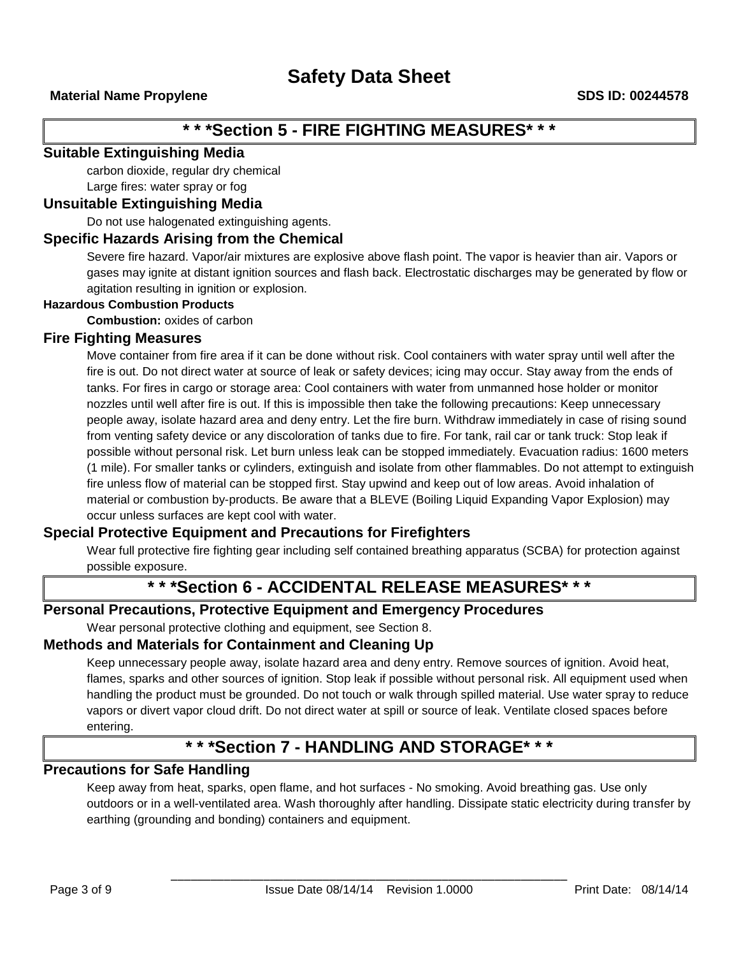# **\* \* \*Section 5 - FIRE FIGHTING MEASURES\* \* \***

# **Suitable Extinguishing Media**

carbon dioxide, regular dry chemical

Large fires: water spray or fog

# **Unsuitable Extinguishing Media**

Do not use halogenated extinguishing agents.

# **Specific Hazards Arising from the Chemical**

Severe fire hazard. Vapor/air mixtures are explosive above flash point. The vapor is heavier than air. Vapors or gases may ignite at distant ignition sources and flash back. Electrostatic discharges may be generated by flow or agitation resulting in ignition or explosion.

#### **Hazardous Combustion Products**

**Combustion:** oxides of carbon

### **Fire Fighting Measures**

Move container from fire area if it can be done without risk. Cool containers with water spray until well after the fire is out. Do not direct water at source of leak or safety devices; icing may occur. Stay away from the ends of tanks. For fires in cargo or storage area: Cool containers with water from unmanned hose holder or monitor nozzles until well after fire is out. If this is impossible then take the following precautions: Keep unnecessary people away, isolate hazard area and deny entry. Let the fire burn. Withdraw immediately in case of rising sound from venting safety device or any discoloration of tanks due to fire. For tank, rail car or tank truck: Stop leak if possible without personal risk. Let burn unless leak can be stopped immediately. Evacuation radius: 1600 meters (1 mile). For smaller tanks or cylinders, extinguish and isolate from other flammables. Do not attempt to extinguish fire unless flow of material can be stopped first. Stay upwind and keep out of low areas. Avoid inhalation of material or combustion by-products. Be aware that a BLEVE (Boiling Liquid Expanding Vapor Explosion) may occur unless surfaces are kept cool with water.

# **Special Protective Equipment and Precautions for Firefighters**

Wear full protective fire fighting gear including self contained breathing apparatus (SCBA) for protection against possible exposure.

# **\* \* \*Section 6 - ACCIDENTAL RELEASE MEASURES\* \* \***

# **Personal Precautions, Protective Equipment and Emergency Procedures**

Wear personal protective clothing and equipment, see Section 8.

# **Methods and Materials for Containment and Cleaning Up**

Keep unnecessary people away, isolate hazard area and deny entry. Remove sources of ignition. Avoid heat, flames, sparks and other sources of ignition. Stop leak if possible without personal risk. All equipment used when handling the product must be grounded. Do not touch or walk through spilled material. Use water spray to reduce vapors or divert vapor cloud drift. Do not direct water at spill or source of leak. Ventilate closed spaces before entering.

# **\* \* \*Section 7 - HANDLING AND STORAGE\* \* \***

# **Precautions for Safe Handling**

Keep away from heat, sparks, open flame, and hot surfaces - No smoking. Avoid breathing gas. Use only outdoors or in a well-ventilated area. Wash thoroughly after handling. Dissipate static electricity during transfer by earthing (grounding and bonding) containers and equipment.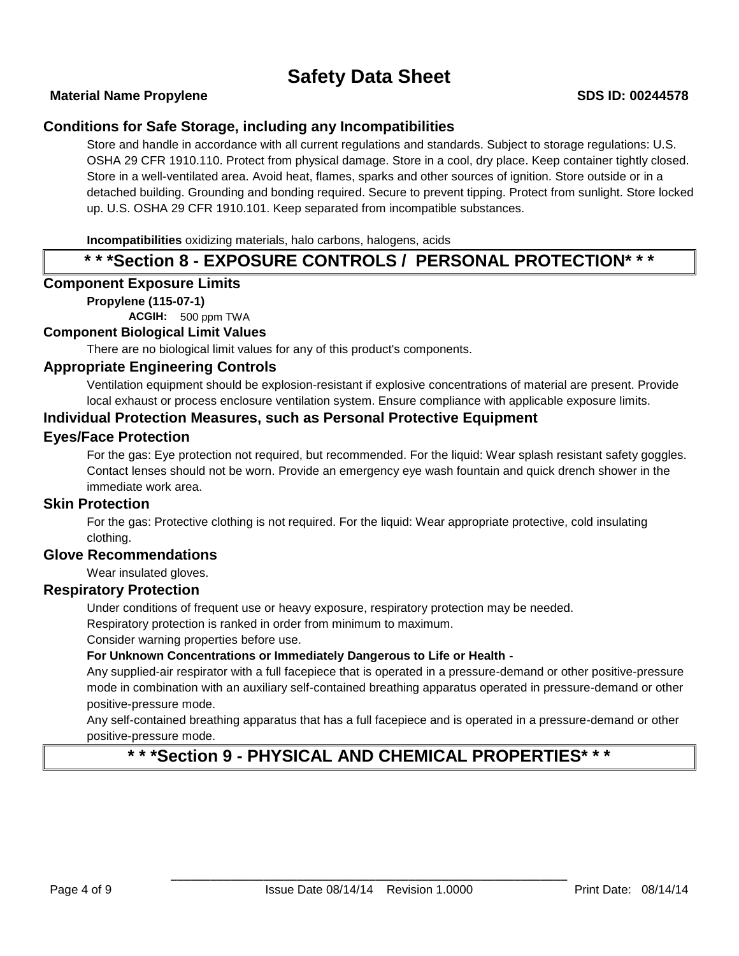### **Material Name Propylene SDS ID: 00244578**

# **Conditions for Safe Storage, including any Incompatibilities**

Store and handle in accordance with all current regulations and standards. Subject to storage regulations: U.S. OSHA 29 CFR 1910.110. Protect from physical damage. Store in a cool, dry place. Keep container tightly closed. Store in a well-ventilated area. Avoid heat, flames, sparks and other sources of ignition. Store outside or in a detached building. Grounding and bonding required. Secure to prevent tipping. Protect from sunlight. Store locked up. U.S. OSHA 29 CFR 1910.101. Keep separated from incompatible substances.

**Incompatibilities** oxidizing materials, halo carbons, halogens, acids

# **\* \* \*Section 8 - EXPOSURE CONTROLS / PERSONAL PROTECTION\* \* \***

### **Component Exposure Limits**

#### **Propylene (115-07-1)**

**ACGIH:** 500 ppm TWA

#### **Component Biological Limit Values**

There are no biological limit values for any of this product's components.

### **Appropriate Engineering Controls**

Ventilation equipment should be explosion-resistant if explosive concentrations of material are present. Provide local exhaust or process enclosure ventilation system. Ensure compliance with applicable exposure limits.

### **Individual Protection Measures, such as Personal Protective Equipment**

#### **Eyes/Face Protection**

For the gas: Eye protection not required, but recommended. For the liquid: Wear splash resistant safety goggles. Contact lenses should not be worn. Provide an emergency eye wash fountain and quick drench shower in the immediate work area.

#### **Skin Protection**

For the gas: Protective clothing is not required. For the liquid: Wear appropriate protective, cold insulating clothing.

#### **Glove Recommendations**

Wear insulated gloves.

#### **Respiratory Protection**

Under conditions of frequent use or heavy exposure, respiratory protection may be needed.

Respiratory protection is ranked in order from minimum to maximum.

Consider warning properties before use.

**For Unknown Concentrations or Immediately Dangerous to Life or Health -**

Any supplied-air respirator with a full facepiece that is operated in a pressure-demand or other positive-pressure mode in combination with an auxiliary self-contained breathing apparatus operated in pressure-demand or other positive-pressure mode.

Any self-contained breathing apparatus that has a full facepiece and is operated in a pressure-demand or other positive-pressure mode.

# **\* \* \*Section 9 - PHYSICAL AND CHEMICAL PROPERTIES\* \* \***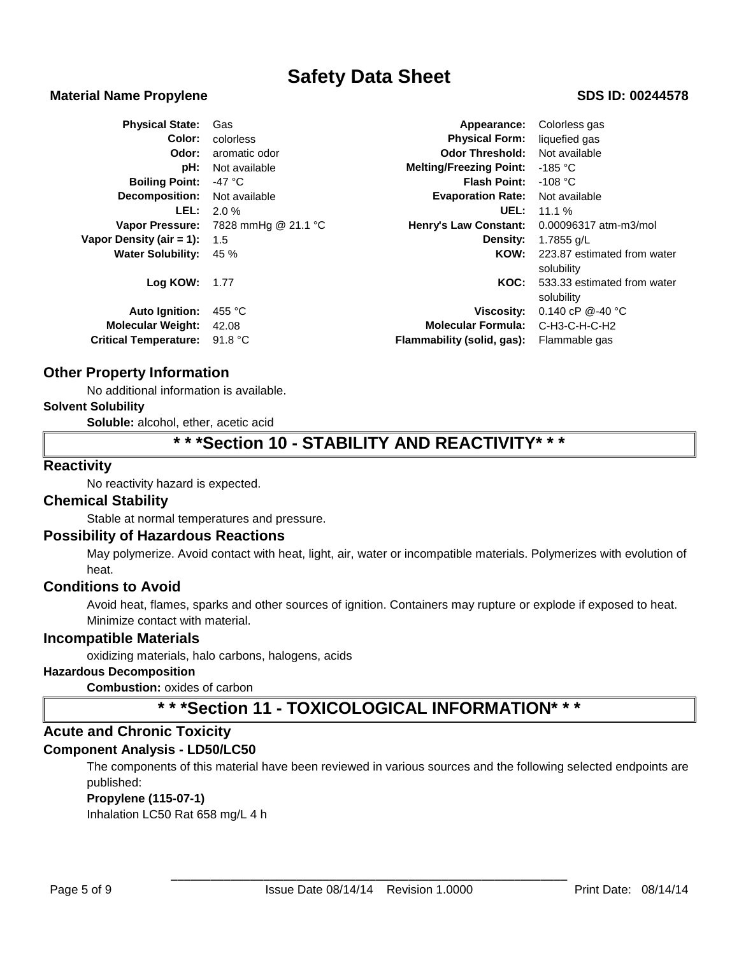#### **Material Name Propylene SDS ID: 00244578**

| <b>Physical State:</b>       | Gas                 | Appearance:                    | Colorless gas               |  |
|------------------------------|---------------------|--------------------------------|-----------------------------|--|
| Color:                       | colorless           | <b>Physical Form:</b>          | liquefied gas               |  |
| Odor:                        | aromatic odor       | <b>Odor Threshold:</b>         | Not available               |  |
| pH:                          | Not available       | <b>Melting/Freezing Point:</b> | $-185 °C$                   |  |
| <b>Boiling Point:</b>        | -47 °C              | <b>Flash Point:</b>            | -108 °C                     |  |
| Decomposition:               | Not available       | <b>Evaporation Rate:</b>       | Not available               |  |
| LEL:                         | 2.0%                | UEL:                           | 11.1%                       |  |
| <b>Vapor Pressure:</b>       | 7828 mmHg @ 21.1 °C | <b>Henry's Law Constant:</b>   | 0.00096317 atm-m3/mol       |  |
| Vapor Density (air $= 1$ ):  | 1.5                 | Density:                       | 1.7855 g/L                  |  |
| <b>Water Solubility:</b>     | 45 %                | KOW:                           | 223.87 estimated from water |  |
|                              |                     |                                | solubility                  |  |
| Log KOW:                     | 1.77                | KOC:                           | 533.33 estimated from water |  |
|                              |                     |                                | solubility                  |  |
| <b>Auto Ignition:</b>        | 455 °C              | <b>Viscosity:</b>              | 0.140 cP $@-40$ °C          |  |
| <b>Molecular Weight:</b>     | 42.08               | <b>Molecular Formula:</b>      | $C-H3-C-H-C-H2$             |  |
| <b>Critical Temperature:</b> | 91.8 $^{\circ}$ C   | Flammability (solid, gas):     | Flammable gas               |  |

### **Other Property Information**

No additional information is available.

#### **Solvent Solubility**

**Soluble:** alcohol, ether, acetic acid

# **\* \* \*Section 10 - STABILITY AND REACTIVITY\* \* \***

### **Reactivity**

No reactivity hazard is expected.

#### **Chemical Stability**

Stable at normal temperatures and pressure.

#### **Possibility of Hazardous Reactions**

May polymerize. Avoid contact with heat, light, air, water or incompatible materials. Polymerizes with evolution of heat.

#### **Conditions to Avoid**

Avoid heat, flames, sparks and other sources of ignition. Containers may rupture or explode if exposed to heat. Minimize contact with material.

#### **Incompatible Materials**

oxidizing materials, halo carbons, halogens, acids

# **Hazardous Decomposition**

**Combustion:** oxides of carbon

# **\* \* \*Section 11 - TOXICOLOGICAL INFORMATION\* \* \***

# **Acute and Chronic Toxicity**

#### **Component Analysis - LD50/LC50**

The components of this material have been reviewed in various sources and the following selected endpoints are published:

#### **Propylene (115-07-1)**

Inhalation LC50 Rat 658 mg/L 4 h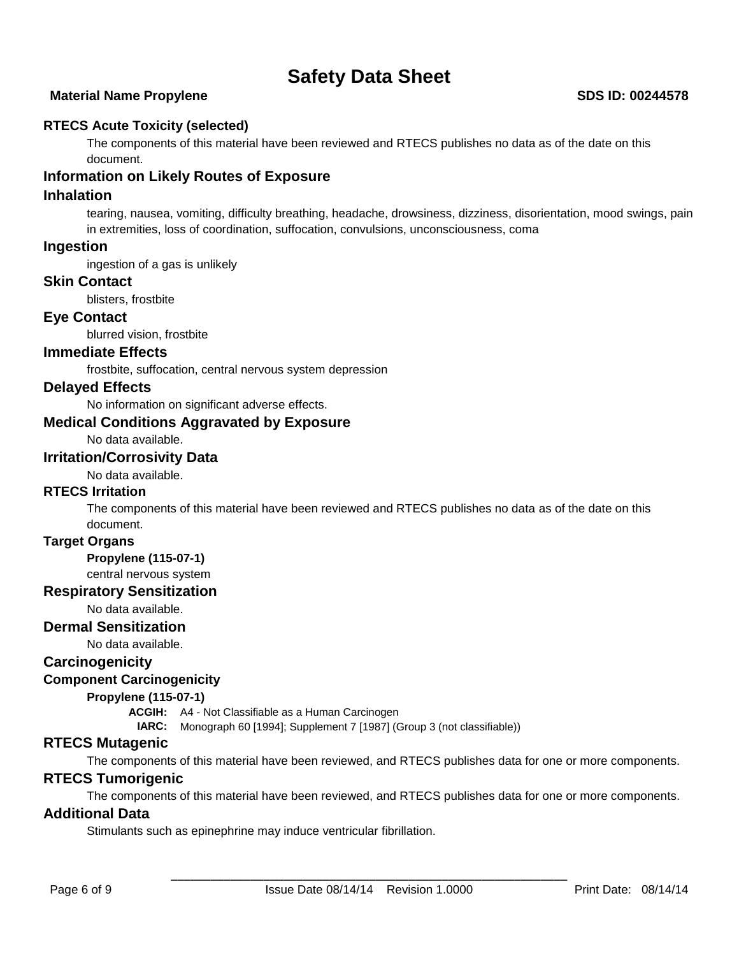### **Material Name Propylene SDS ID: 00244578**

### **RTECS Acute Toxicity (selected)**

The components of this material have been reviewed and RTECS publishes no data as of the date on this document.

# **Information on Likely Routes of Exposure**

#### **Inhalation**

tearing, nausea, vomiting, difficulty breathing, headache, drowsiness, dizziness, disorientation, mood swings, pain in extremities, loss of coordination, suffocation, convulsions, unconsciousness, coma

#### **Ingestion**

ingestion of a gas is unlikely

#### **Skin Contact**

blisters, frostbite

### **Eye Contact**

blurred vision, frostbite

# **Immediate Effects**

frostbite, suffocation, central nervous system depression

#### **Delayed Effects**

No information on significant adverse effects.

#### **Medical Conditions Aggravated by Exposure**

No data available.

### **Irritation/Corrosivity Data**

No data available.

# **RTECS Irritation**

The components of this material have been reviewed and RTECS publishes no data as of the date on this document.

#### **Target Organs**

**Propylene (115-07-1)**

#### central nervous system

**Respiratory Sensitization**

No data available.

### **Dermal Sensitization**

No data available.

### **Carcinogenicity**

#### **Component Carcinogenicity**

#### **Propylene (115-07-1)**

**ACGIH:** A4 - Not Classifiable as a Human Carcinogen

**IARC:** Monograph 60 [1994]; Supplement 7 [1987] (Group 3 (not classifiable))

# **RTECS Mutagenic**

The components of this material have been reviewed, and RTECS publishes data for one or more components.

#### **RTECS Tumorigenic**

The components of this material have been reviewed, and RTECS publishes data for one or more components.

#### **Additional Data**

Stimulants such as epinephrine may induce ventricular fibrillation.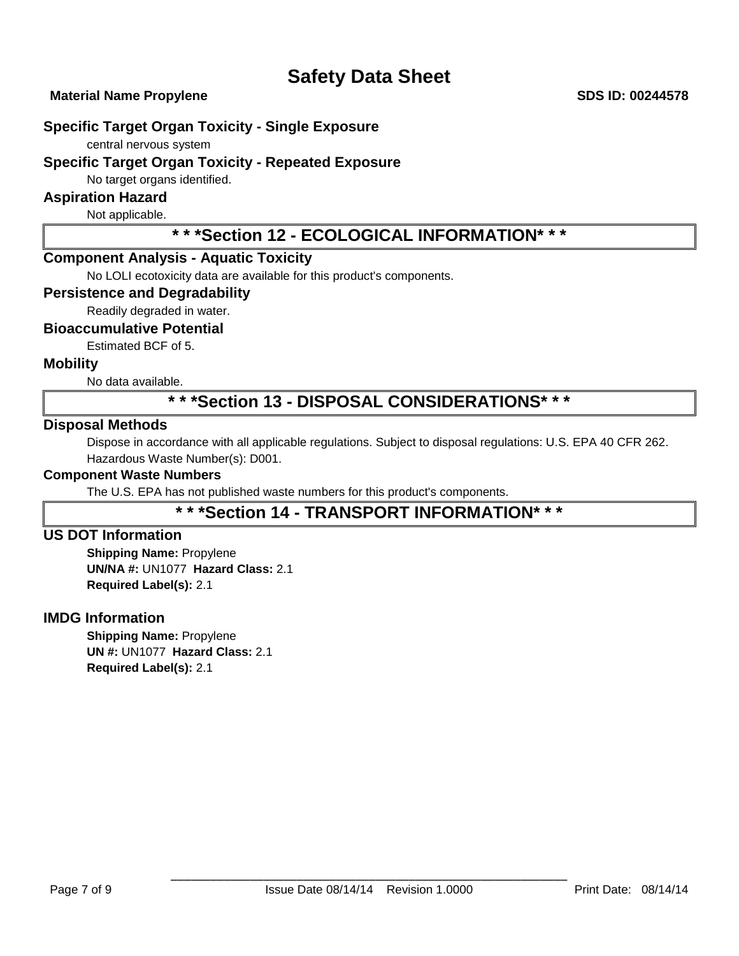**Material Name Propylene SDS ID: 00244578** 

# **Specific Target Organ Toxicity - Single Exposure**

central nervous system

# **Specific Target Organ Toxicity - Repeated Exposure**

No target organs identified.

# **Aspiration Hazard**

Not applicable.

# **\* \* \*Section 12 - ECOLOGICAL INFORMATION\* \* \***

# **Component Analysis - Aquatic Toxicity**

No LOLI ecotoxicity data are available for this product's components.

#### **Persistence and Degradability**

Readily degraded in water.

#### **Bioaccumulative Potential**

Estimated BCF of 5.

### **Mobility**

No data available.

# **\* \* \*Section 13 - DISPOSAL CONSIDERATIONS\* \* \***

### **Disposal Methods**

Dispose in accordance with all applicable regulations. Subject to disposal regulations: U.S. EPA 40 CFR 262. Hazardous Waste Number(s): D001.

#### **Component Waste Numbers**

The U.S. EPA has not published waste numbers for this product's components.

# **\* \* \*Section 14 - TRANSPORT INFORMATION\* \* \***

# **US DOT Information**

**Shipping Name:** Propylene **UN/NA #:** UN1077 **Hazard Class:** 2.1 **Required Label(s):** 2.1

# **IMDG Information**

**Shipping Name:** Propylene **UN #:** UN1077 **Hazard Class:** 2.1 **Required Label(s):** 2.1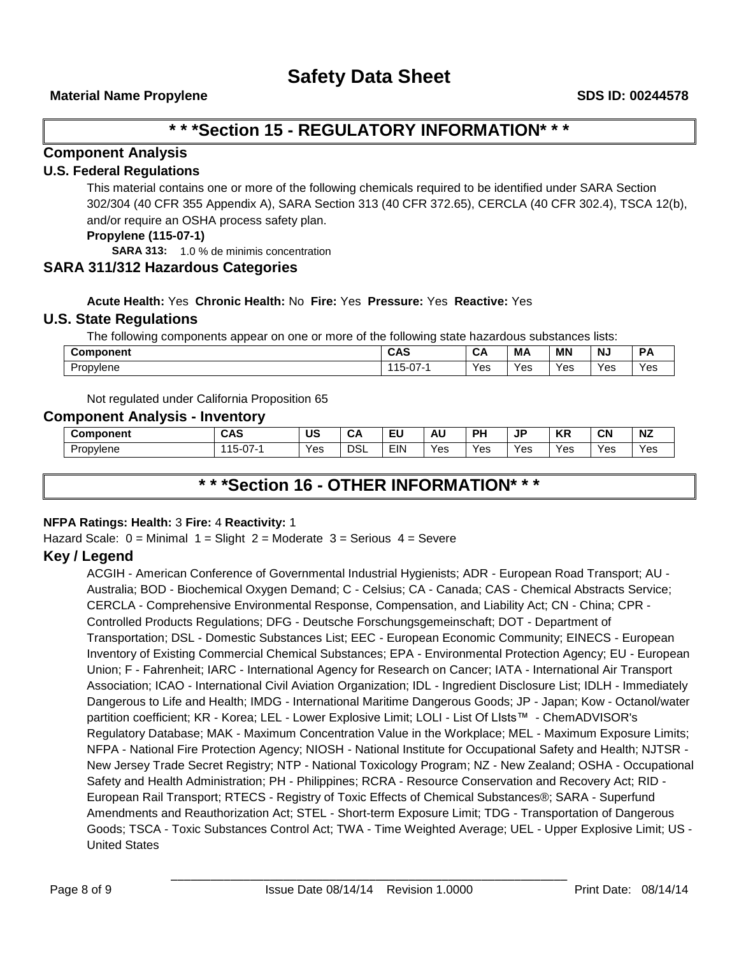# **\* \* \*Section 15 - REGULATORY INFORMATION\* \* \***

# **Component Analysis**

### **U.S. Federal Regulations**

This material contains one or more of the following chemicals required to be identified under SARA Section 302/304 (40 CFR 355 Appendix A), SARA Section 313 (40 CFR 372.65), CERCLA (40 CFR 302.4), TSCA 12(b), and/or require an OSHA process safety plan.

#### **Propylene (115-07-1)**

**SARA 313:** 1.0 % de minimis concentration

### **SARA 311/312 Hazardous Categories**

**Acute Health:** Yes **Chronic Health:** No **Fire:** Yes **Pressure:** Yes **Reactive:** Yes

#### **U.S. State Regulations**

The following components appear on one or more of the following state hazardous substances lists:

| Component      | CAS<br><b>UAJ</b>            | -<br>v | МA  | <b>MN</b>      | .<br>N, | D<br>$\sqrt{ }$ |
|----------------|------------------------------|--------|-----|----------------|---------|-----------------|
| -<br>Propylene | $\sim$ $-$<br>. U L<br>- C i | Yes    | Yes | $\cdot$<br>Yes | Yes     | Yes             |

Not regulated under California Proposition 65

#### **Component Analysis - Inventory**

| Component | <b>CAS</b>                      | .<br>uc | .<br>Um    | πш.<br>-- | AU  | ים  | ID<br>u '<br>-- | <b>KC</b><br>'nг | CN  | <b>NZ</b> |
|-----------|---------------------------------|---------|------------|-----------|-----|-----|-----------------|------------------|-----|-----------|
| Propylene | 4E<br>$\sim$ $-$<br>.<br>ו ט-פו | Yes     | <b>DSL</b> | EIN       | Yes | Yes | Yes             | Yes              | Yes | Yes       |

# **\* \* \*Section 16 - OTHER INFORMATION\* \* \***

#### **NFPA Ratings: Health:** 3 **Fire:** 4 **Reactivity:** 1

Hazard Scale:  $0 =$  Minimal  $1 =$  Slight  $2 =$  Moderate  $3 =$  Serious  $4 =$  Severe

# **Key / Legend**

ACGIH - American Conference of Governmental Industrial Hygienists; ADR - European Road Transport; AU - Australia; BOD - Biochemical Oxygen Demand; C - Celsius; CA - Canada; CAS - Chemical Abstracts Service; CERCLA - Comprehensive Environmental Response, Compensation, and Liability Act; CN - China; CPR - Controlled Products Regulations; DFG - Deutsche Forschungsgemeinschaft; DOT - Department of Transportation; DSL - Domestic Substances List; EEC - European Economic Community; EINECS - European Inventory of Existing Commercial Chemical Substances; EPA - Environmental Protection Agency; EU - European Union; F - Fahrenheit; IARC - International Agency for Research on Cancer; IATA - International Air Transport Association; ICAO - International Civil Aviation Organization; IDL - Ingredient Disclosure List; IDLH - Immediately Dangerous to Life and Health; IMDG - International Maritime Dangerous Goods; JP - Japan; Kow - Octanol/water partition coefficient; KR - Korea; LEL - Lower Explosive Limit; LOLI - List Of LIsts™ - ChemADVISOR's Regulatory Database; MAK - Maximum Concentration Value in the Workplace; MEL - Maximum Exposure Limits; NFPA - National Fire Protection Agency; NIOSH - National Institute for Occupational Safety and Health; NJTSR - New Jersey Trade Secret Registry; NTP - National Toxicology Program; NZ - New Zealand; OSHA - Occupational Safety and Health Administration; PH - Philippines; RCRA - Resource Conservation and Recovery Act; RID - European Rail Transport; RTECS - Registry of Toxic Effects of Chemical Substances®; SARA - Superfund Amendments and Reauthorization Act; STEL - Short-term Exposure Limit; TDG - Transportation of Dangerous Goods; TSCA - Toxic Substances Control Act; TWA - Time Weighted Average; UEL - Upper Explosive Limit; US - United States